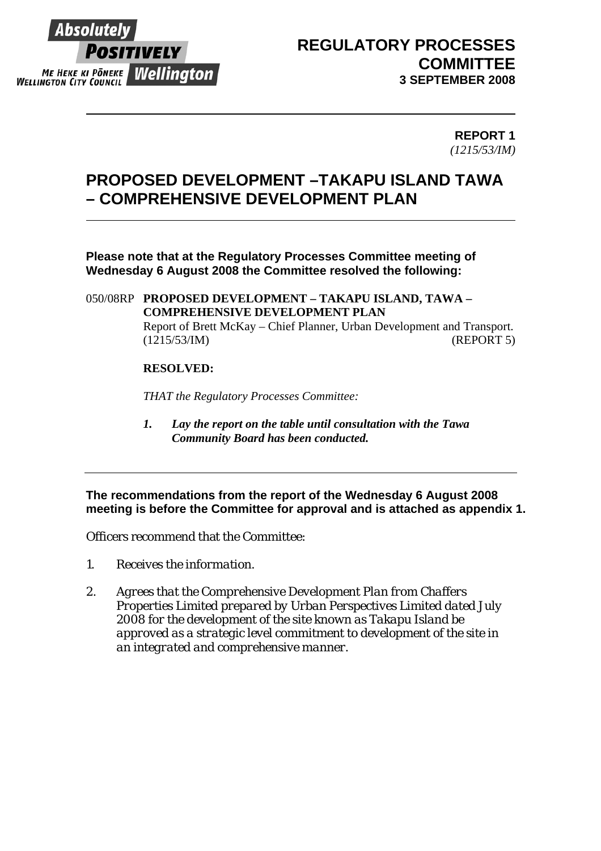

## **REGULATORY PROCESSES COMMITTEE 3 SEPTEMBER 2008**

#### **REPORT 1**  *(1215/53/IM)*

# **PROPOSED DEVELOPMENT –TAKAPU ISLAND TAWA – COMPREHENSIVE DEVELOPMENT PLAN**

**Please note that at the Regulatory Processes Committee meeting of Wednesday 6 August 2008 the Committee resolved the following:** 

050/08RP **PROPOSED DEVELOPMENT – TAKAPU ISLAND, TAWA – COMPREHENSIVE DEVELOPMENT PLAN**  Report of Brett McKay – Chief Planner, Urban Development and Transport. (1215/53/IM) (REPORT 5)

#### **RESOLVED:**

*THAT the Regulatory Processes Committee:* 

*1. Lay the report on the table until consultation with the Tawa Community Board has been conducted.* 

**The recommendations from the report of the Wednesday 6 August 2008 meeting is before the Committee for approval and is attached as appendix 1.** 

Officers recommend that the Committee:

- *1. Receives the information.*
- *2. Agrees that the Comprehensive Development Plan from Chaffers Properties Limited prepared by Urban Perspectives Limited dated July 2008 for the development of the site known as Takapu Island be approved as a strategic level commitment to development of the site in an integrated and comprehensive manner.*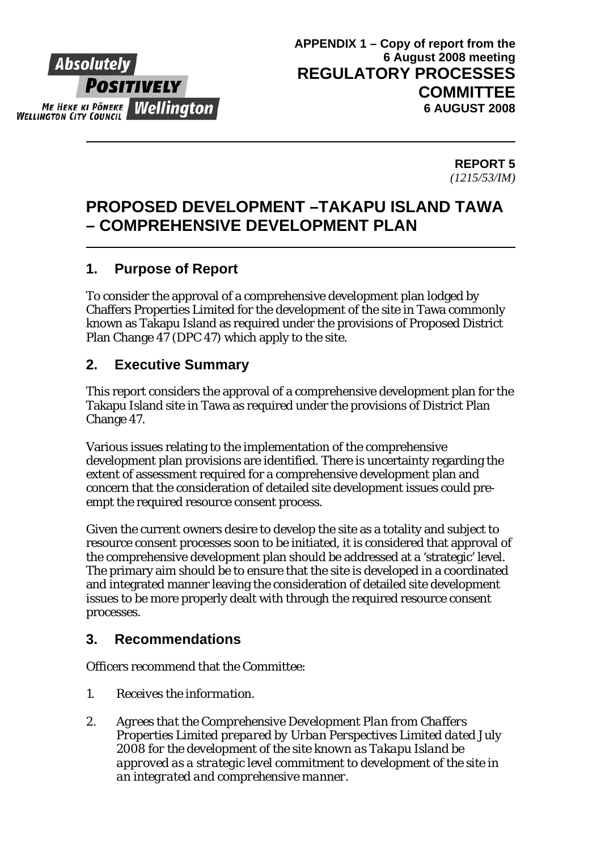# Absolute Positively ME HEKE KI PONEKE **Wellinaton WELLINGTON CITY COUNCIL**

**REPORT 5**  *(1215/53/IM)* 

## **PROPOSED DEVELOPMENT –TAKAPU ISLAND TAWA – COMPREHENSIVE DEVELOPMENT PLAN**

## **1. Purpose of Report**

To consider the approval of a comprehensive development plan lodged by Chaffers Properties Limited for the development of the site in Tawa commonly known as Takapu Island as required under the provisions of Proposed District Plan Change 47 (DPC 47) which apply to the site.

## **2. Executive Summary**

This report considers the approval of a comprehensive development plan for the Takapu Island site in Tawa as required under the provisions of District Plan Change 47.

Various issues relating to the implementation of the comprehensive development plan provisions are identified. There is uncertainty regarding the extent of assessment required for a comprehensive development plan and concern that the consideration of detailed site development issues could preempt the required resource consent process.

Given the current owners desire to develop the site as a totality and subject to resource consent processes soon to be initiated, it is considered that approval of the comprehensive development plan should be addressed at a 'strategic' level. The primary aim should be to ensure that the site is developed in a coordinated and integrated manner leaving the consideration of detailed site development issues to be more properly dealt with through the required resource consent processes.

## **3. Recommendations**

Officers recommend that the Committee:

- *1. Receives the information.*
- *2. Agrees that the Comprehensive Development Plan from Chaffers Properties Limited prepared by Urban Perspectives Limited dated July 2008 for the development of the site known as Takapu Island be approved as a strategic level commitment to development of the site in an integrated and comprehensive manner.*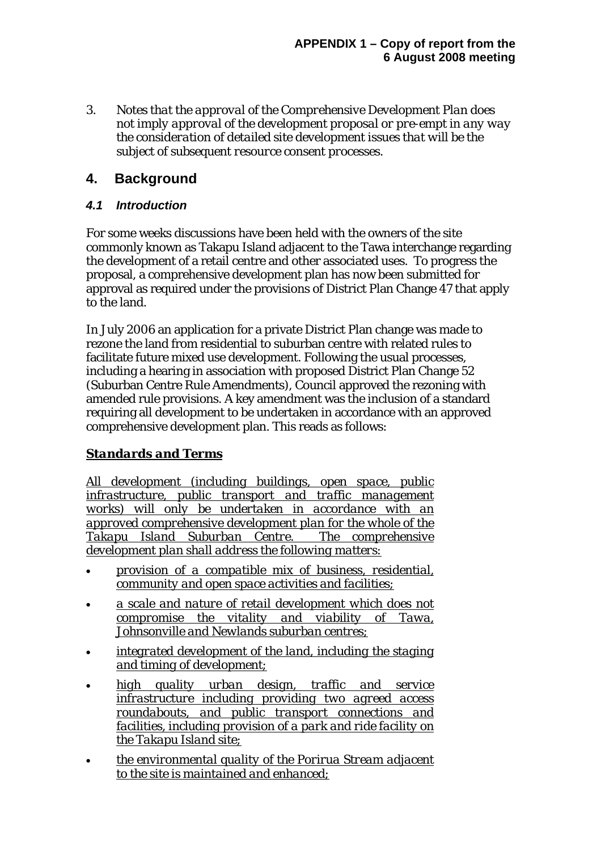*3. Notes that the approval of the Comprehensive Development Plan does not imply approval of the development proposal or pre-empt in any way the consideration of detailed site development issues that will be the subject of subsequent resource consent processes.* 

#### **4. Background**

#### *4.1 Introduction*

For some weeks discussions have been held with the owners of the site commonly known as Takapu Island adjacent to the Tawa interchange regarding the development of a retail centre and other associated uses. To progress the proposal, a comprehensive development plan has now been submitted for approval as required under the provisions of District Plan Change 47 that apply to the land.

In July 2006 an application for a private District Plan change was made to rezone the land from residential to suburban centre with related rules to facilitate future mixed use development. Following the usual processes, including a hearing in association with proposed District Plan Change 52 (Suburban Centre Rule Amendments), Council approved the rezoning with amended rule provisions. A key amendment was the inclusion of a standard requiring all development to be undertaken in accordance with an approved comprehensive development plan. This reads as follows:

#### *Standards and Terms*

*All development (including buildings, open space, public infrastructure, public transport and traffic management works) will only be undertaken in accordance with an approved comprehensive development plan for the whole of the Takapu Island Suburban Centre. The comprehensive development plan shall address the following matters:*

- *provision of a compatible mix of business, residential, community and open space activities and facilities;*
- *a scale and nature of retail development which does not compromise the vitality and viability of Tawa, Johnsonville and Newlands suburban centres;*
- *integrated development of the land, including the staging and timing of development;*
- *high quality urban design, traffic and service infrastructure including providing two agreed access roundabouts, and public transport connections and facilities, including provision of a park and ride facility on the Takapu Island site;*
- *the environmental quality of the Porirua Stream adjacent to the site is maintained and enhanced;*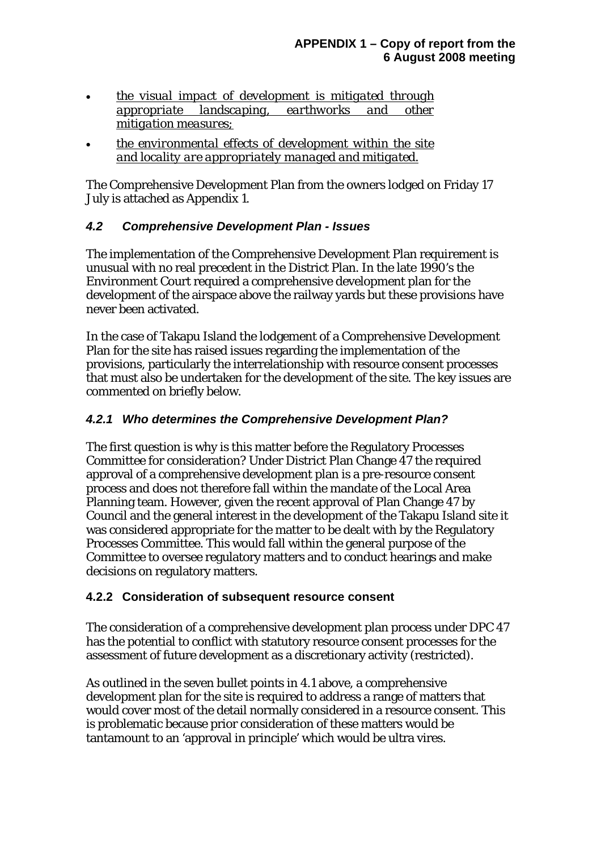- *the visual impact of development is mitigated through appropriate landscaping, earthworks and other mitigation measures;*
- *the environmental effects of development within the site and locality are appropriately managed and mitigated.*

The Comprehensive Development Plan from the owners lodged on Friday 17 July is attached as Appendix 1.

#### *4.2 Comprehensive Development Plan - Issues*

The implementation of the Comprehensive Development Plan requirement is unusual with no real precedent in the District Plan. In the late 1990's the Environment Court required a comprehensive development plan for the development of the airspace above the railway yards but these provisions have never been activated.

In the case of Takapu Island the lodgement of a Comprehensive Development Plan for the site has raised issues regarding the implementation of the provisions, particularly the interrelationship with resource consent processes that must also be undertaken for the development of the site. The key issues are commented on briefly below.

#### *4.2.1 Who determines the Comprehensive Development Plan?*

The first question is why is this matter before the Regulatory Processes Committee for consideration? Under District Plan Change 47 the required approval of a comprehensive development plan is a pre-resource consent process and does not therefore fall within the mandate of the Local Area Planning team. However, given the recent approval of Plan Change 47 by Council and the general interest in the development of the Takapu Island site it was considered appropriate for the matter to be dealt with by the Regulatory Processes Committee. This would fall within the general purpose of the Committee to oversee regulatory matters and to conduct hearings and make decisions on regulatory matters.

#### **4.2.2 Consideration of subsequent resource consent**

The consideration of a comprehensive development plan process under DPC 47 has the potential to conflict with statutory resource consent processes for the assessment of future development as a discretionary activity (restricted).

As outlined in the seven bullet points in 4.1 above, a comprehensive development plan for the site is required to address a range of matters that would cover most of the detail normally considered in a resource consent. This is problematic because prior consideration of these matters would be tantamount to an 'approval in principle' which would be ultra vires.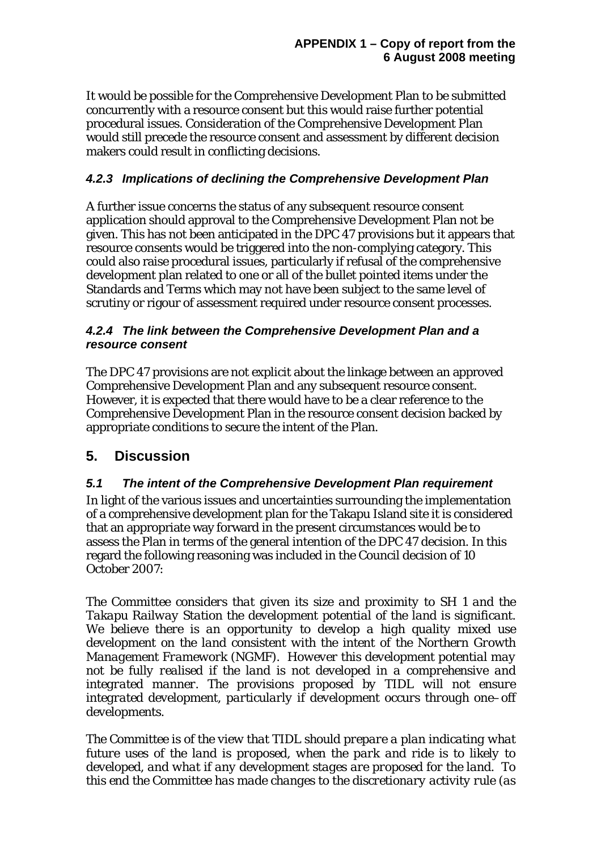It would be possible for the Comprehensive Development Plan to be submitted concurrently with a resource consent but this would raise further potential procedural issues. Consideration of the Comprehensive Development Plan would still precede the resource consent and assessment by different decision makers could result in conflicting decisions.

#### *4.2.3 Implications of declining the Comprehensive Development Plan*

A further issue concerns the status of any subsequent resource consent application should approval to the Comprehensive Development Plan not be given. This has not been anticipated in the DPC 47 provisions but it appears that resource consents would be triggered into the non-complying category. This could also raise procedural issues, particularly if refusal of the comprehensive development plan related to one or all of the bullet pointed items under the Standards and Terms which may not have been subject to the same level of scrutiny or rigour of assessment required under resource consent processes.

#### *4.2.4 The link between the Comprehensive Development Plan and a resource consent*

The DPC 47 provisions are not explicit about the linkage between an approved Comprehensive Development Plan and any subsequent resource consent. However, it is expected that there would have to be a clear reference to the Comprehensive Development Plan in the resource consent decision backed by appropriate conditions to secure the intent of the Plan.

## **5. Discussion**

#### *5.1 The intent of the Comprehensive Development Plan requirement*

In light of the various issues and uncertainties surrounding the implementation of a comprehensive development plan for the Takapu Island site it is considered that an appropriate way forward in the present circumstances would be to assess the Plan in terms of the general intention of the DPC 47 decision. In this regard the following reasoning was included in the Council decision of 10 October 2007:

*The Committee considers that given its size and proximity to SH 1 and the Takapu Railway Station the development potential of the land is significant. We believe there is an opportunity to develop a high quality mixed use development on the land consistent with the intent of the Northern Growth Management Framework (NGMF). However this development potential may not be fully realised if the land is not developed in a comprehensive and integrated manner. The provisions proposed by TIDL will not ensure integrated development, particularly if development occurs through one–off developments.* 

*The Committee is of the view that TIDL should prepare a plan indicating what future uses of the land is proposed, when the park and ride is to likely to developed, and what if any development stages are proposed for the land. To this end the Committee has made changes to the discretionary activity rule (as*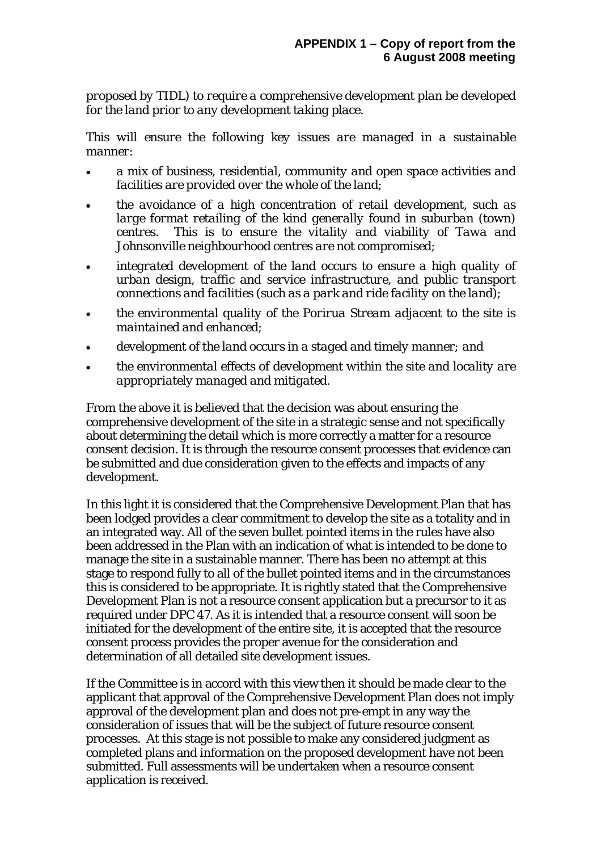*proposed by TIDL) to require a comprehensive development plan be developed for the land prior to any development taking place.* 

*This will ensure the following key issues are managed in a sustainable manner:* 

- *a mix of business, residential, community and open space activities and facilities are provided over the whole of the land;*
- *the avoidance of a high concentration of retail development, such as large format retailing of the kind generally found in suburban (town) centres. This is to ensure the vitality and viability of Tawa and Johnsonville neighbourhood centres are not compromised;*
- *integrated development of the land occurs to ensure a high quality of urban design, traffic and service infrastructure, and public transport connections and facilities (such as a park and ride facility on the land);*
- *the environmental quality of the Porirua Stream adjacent to the site is maintained and enhanced;*
- *development of the land occurs in a staged and timely manner; and*
- *the environmental effects of development within the site and locality are appropriately managed and mitigated.*

From the above it is believed that the decision was about ensuring the comprehensive development of the site in a strategic sense and not specifically about determining the detail which is more correctly a matter for a resource consent decision. It is through the resource consent processes that evidence can be submitted and due consideration given to the effects and impacts of any development.

In this light it is considered that the Comprehensive Development Plan that has been lodged provides a clear commitment to develop the site as a totality and in an integrated way. All of the seven bullet pointed items in the rules have also been addressed in the Plan with an indication of what is intended to be done to manage the site in a sustainable manner. There has been no attempt at this stage to respond fully to all of the bullet pointed items and in the circumstances this is considered to be appropriate. It is rightly stated that the Comprehensive Development Plan is not a resource consent application but a precursor to it as required under DPC 47. As it is intended that a resource consent will soon be initiated for the development of the entire site, it is accepted that the resource consent process provides the proper avenue for the consideration and determination of all detailed site development issues.

If the Committee is in accord with this view then it should be made clear to the applicant that approval of the Comprehensive Development Plan does not imply approval of the development plan and does not pre-empt in any way the consideration of issues that will be the subject of future resource consent processes. At this stage is not possible to make any considered judgment as completed plans and information on the proposed development have not been submitted. Full assessments will be undertaken when a resource consent application is received.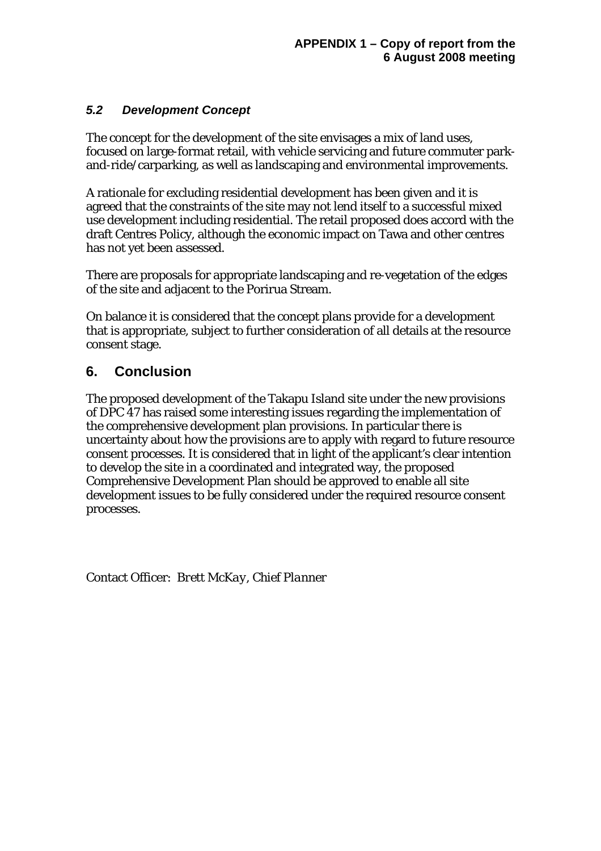#### *5.2 Development Concept*

The concept for the development of the site envisages a mix of land uses, focused on large-format retail, with vehicle servicing and future commuter parkand-ride/carparking, as well as landscaping and environmental improvements.

A rationale for excluding residential development has been given and it is agreed that the constraints of the site may not lend itself to a successful mixed use development including residential. The retail proposed does accord with the draft Centres Policy, although the economic impact on Tawa and other centres has not yet been assessed.

There are proposals for appropriate landscaping and re-vegetation of the edges of the site and adjacent to the Porirua Stream.

On balance it is considered that the concept plans provide for a development that is appropriate, subject to further consideration of all details at the resource consent stage.

## **6. Conclusion**

The proposed development of the Takapu Island site under the new provisions of DPC 47 has raised some interesting issues regarding the implementation of the comprehensive development plan provisions. In particular there is uncertainty about how the provisions are to apply with regard to future resource consent processes. It is considered that in light of the applicant's clear intention to develop the site in a coordinated and integrated way, the proposed Comprehensive Development Plan should be approved to enable all site development issues to be fully considered under the required resource consent processes.

Contact Officer: *Brett McKay, Chief Planner*